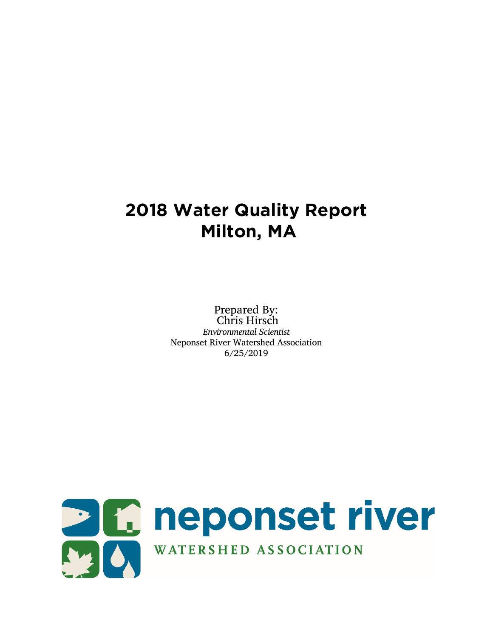# **2018 Water Quality Report Milton, MA**

Prepared By: Chris Hirsch *Environmental Scientist* Neponset River Watershed Association 6/25/2019

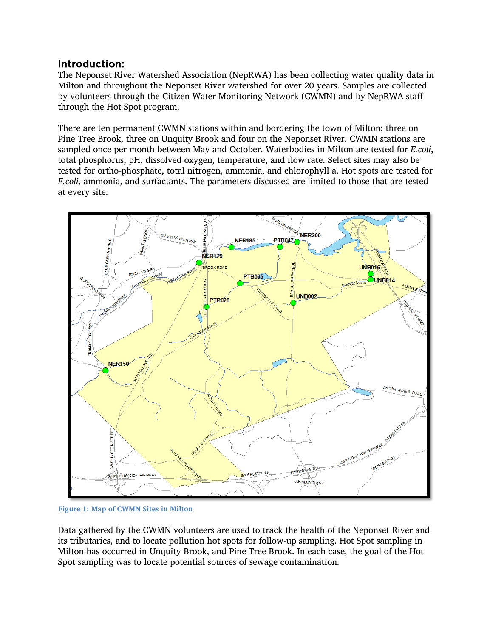## Introduction:

The Neponset River Watershed Association (NepRWA) has been collecting water quality data in Milton and throughout the Neponset River watershed for over 20 years. Samples are collected by volunteers through the Citizen Water Monitoring Network (CWMN) and by NepRWA staff through the Hot Spot program.

There are ten permanent CWMN stations within and bordering the town of Milton; three on Pine Tree Brook, three on Unquity Brook and four on the Neponset River. CWMN stations are sampled once per month between May and October. Waterbodies in Milton are tested for *E.coli*, total phosphorus, pH, dissolved oxygen, temperature, and flow rate. Select sites may also be tested for ortho-phosphate, total nitrogen, ammonia, and chlorophyll a. Hot spots are tested for *E.coli*, ammonia, and surfactants. The parameters discussed are limited to those that are tested at every site.



**Figure 1: Map of CWMN Sites in Milton**

Data gathered by the CWMN volunteers are used to track the health of the Neponset River and its tributaries, and to locate pollution hot spots for follow-up sampling. Hot Spot sampling in Milton has occurred in Unquity Brook, and Pine Tree Brook. In each case, the goal of the Hot Spot sampling was to locate potential sources of sewage contamination.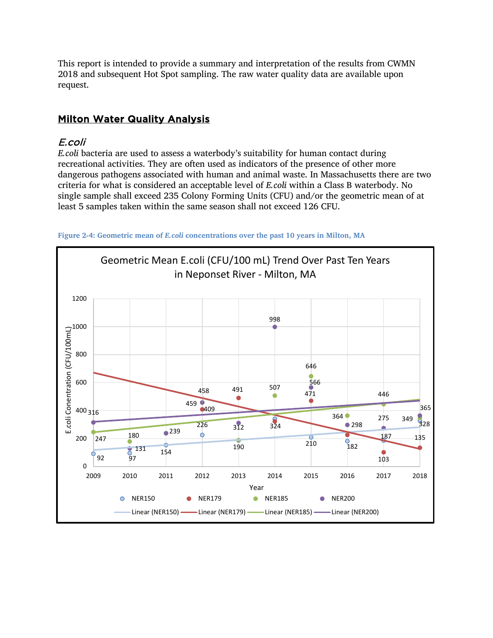This report is intended to provide a summary and interpretation of the results from CWMN and subsequent Hot Spot sampling. The raw water quality data are available upon request.

## **Milton Water Quality Analysis**

## E.coli

*E.coli* bacteria are used to assess a waterbody's suitability for human contact during recreational activities. They are often used as indicators of the presence of other more dangerous pathogens associated with human and animal waste. In Massachusetts there are two criteria for what is considered an acceptable level of *E.coli* within a Class B waterbody. No single sample shall exceed 235 Colony Forming Units (CFU) and/or the geometric mean of at least 5 samples taken within the same season shall not exceed 126 CFU.



**Figure 2-4: Geometric mean of** *E.coli* **concentrations over the past 10 years in Milton, MA**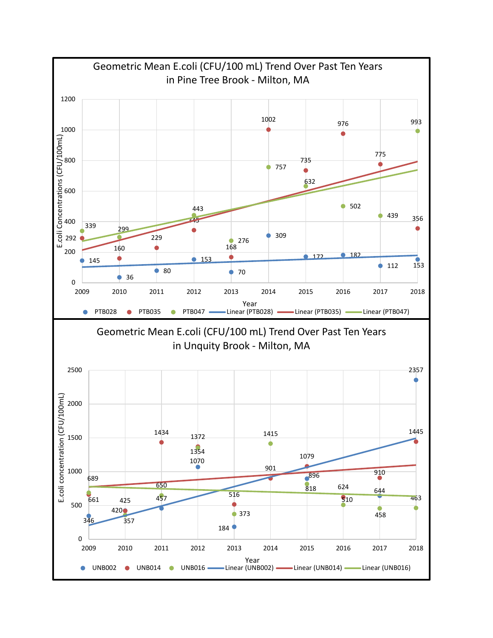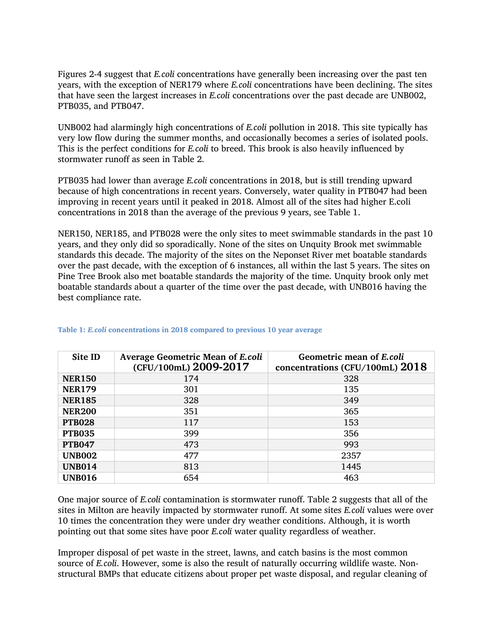Figures 2-4 suggest that *E.coli* concentrations have generally been increasing over the past ten years, with the exception of NER179 where *E.coli* concentrations have been declining. The sites that have seen the largest increases in *E.coli* concentrations over the past decade are UNB002, PTB035, and PTB047.

UNB002 had alarmingly high concentrations of *E.coli* pollution in 2018. This site typically has very low flow during the summer months, and occasionally becomes a series of isolated pools. This is the perfect conditions for *E.coli* to breed. This brook is also heavily influenced by stormwater runoff as seen in Table 2.

PTB035 had lower than average *E.coli* concentrations in 2018, but is still trending upward because of high concentrations in recent years. Conversely, water quality in PTB047 had been improving in recent years until it peaked in 2018. Almost all of the sites had higher E.coli concentrations in 2018 than the average of the previous 9 years, see Table 1.

NER150, NER185, and PTB028 were the only sites to meet swimmable standards in the past 10 years, and they only did so sporadically. None of the sites on Unquity Brook met swimmable standards this decade. The majority of the sites on the Neponset River met boatable standards over the past decade, with the exception of 6 instances, all within the last 5 years. The sites on Pine Tree Brook also met boatable standards the majority of the time. Unquity brook only met boatable standards about a quarter of the time over the past decade, with UNB016 having the best compliance rate.

| Site ID       | <b>Average Geometric Mean of E.coli</b><br>(CFU/100mL) 2009-2017 | Geometric mean of E.coli<br>concentrations (CFU/100mL) $2018$ |
|---------------|------------------------------------------------------------------|---------------------------------------------------------------|
| <b>NER150</b> | 174                                                              | 328                                                           |
| <b>NER179</b> | 301                                                              | 135                                                           |
| <b>NER185</b> | 328                                                              | 349                                                           |
| <b>NER200</b> | 351                                                              | 365                                                           |
| <b>PTB028</b> | 117                                                              | 153                                                           |
| <b>PTB035</b> | 399                                                              | 356                                                           |
| <b>PTB047</b> | 473                                                              | 993                                                           |
| <b>UNB002</b> | 477                                                              | 2357                                                          |
| <b>UNB014</b> | 813                                                              | 1445                                                          |
| <b>UNB016</b> | 654                                                              | 463                                                           |

#### **Table 1:** *E.coli* **concentrations in 2018 compared to previous 10 year average**

One major source of *E.coli* contamination is stormwater runoff. Table 2 suggests that all of the sites in Milton are heavily impacted by stormwater runoff. At some sites *E.coli* values were over 10 times the concentration they were under dry weather conditions. Although, it is worth pointing out that some sites have poor *E.coli* water quality regardless of weather.

Improper disposal of pet waste in the street, lawns, and catch basins is the most common source of *E.coli*. However, some is also the result of naturally occurring wildlife waste. Nonstructural BMPs that educate citizens about proper pet waste disposal, and regular cleaning of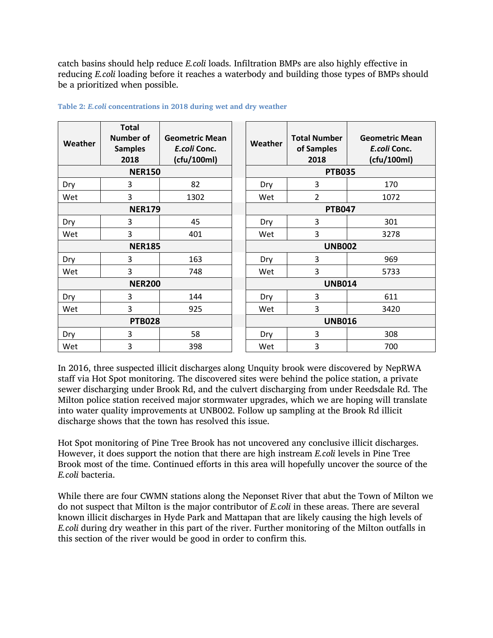catch basins should help reduce *E.coli* loads. Infiltration BMPs are also highly effective in reducing *E.coli* loading before it reaches a waterbody and building those types of BMPs should be a prioritized when possible.

| Weather       | <b>Total</b><br><b>Number of</b><br><b>Samples</b><br>2018 | <b>Geometric Mean</b><br>E.coli Conc.<br>(cfu/100ml) | Weather       | <b>Total Number</b><br>of Samples<br>2018 | <b>Geometric Mean</b><br>E.coli Conc.<br>(cfu/100ml) |
|---------------|------------------------------------------------------------|------------------------------------------------------|---------------|-------------------------------------------|------------------------------------------------------|
| <b>NER150</b> |                                                            |                                                      | <b>PTB035</b> |                                           |                                                      |
| Dry           | 3                                                          | 82                                                   | Dry           | 3                                         | 170                                                  |
| Wet           | 3                                                          | 1302                                                 | Wet           | $\overline{2}$                            | 1072                                                 |
| <b>NER179</b> |                                                            |                                                      | <b>PTB047</b> |                                           |                                                      |
| Dry           | 3                                                          | 45                                                   | Dry           | 3                                         | 301                                                  |
| Wet           | 3                                                          | 401                                                  | Wet           | 3                                         | 3278                                                 |
| <b>NER185</b> |                                                            |                                                      | <b>UNB002</b> |                                           |                                                      |
| Dry           | 3                                                          | 163                                                  | Dry           | 3                                         | 969                                                  |
| Wet           | 3                                                          | 748                                                  | Wet           | 3                                         | 5733                                                 |
| <b>NER200</b> |                                                            |                                                      | <b>UNB014</b> |                                           |                                                      |
| Dry           | 3                                                          | 144                                                  | Dry           | 3                                         | 611                                                  |
| Wet           | 3                                                          | 925                                                  | Wet           | 3                                         | 3420                                                 |
| <b>PTB028</b> |                                                            |                                                      | <b>UNB016</b> |                                           |                                                      |
| Dry           | 3                                                          | 58                                                   | Dry           | 3                                         | 308                                                  |
| Wet           | 3                                                          | 398                                                  | Wet           | 3                                         | 700                                                  |

#### **Table 2:** *E.coli* **concentrations in 2018 during wet and dry weather**

In 2016, three suspected illicit discharges along Unquity brook were discovered by NepRWA staff via Hot Spot monitoring. The discovered sites were behind the police station, a private sewer discharging under Brook Rd, and the culvert discharging from under Reedsdale Rd. The Milton police station received major stormwater upgrades, which we are hoping will translate into water quality improvements at UNB002. Follow up sampling at the Brook Rd illicit discharge shows that the town has resolved this issue.

Hot Spot monitoring of Pine Tree Brook has not uncovered any conclusive illicit discharges. However, it does support the notion that there are high instream *E.coli* levels in Pine Tree Brook most of the time. Continued efforts in this area will hopefully uncover the source of the *E.coli* bacteria.

While there are four CWMN stations along the Neponset River that abut the Town of Milton we do not suspect that Milton is the major contributor of *E.coli* in these areas. There are several known illicit discharges in Hyde Park and Mattapan that are likely causing the high levels of *E.coli* during dry weather in this part of the river. Further monitoring of the Milton outfalls in this section of the river would be good in order to confirm this.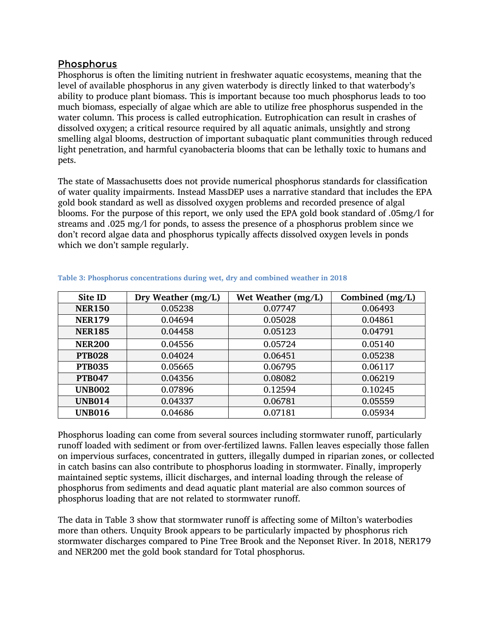#### Phosphorus

Phosphorus is often the limiting nutrient in freshwater aquatic ecosystems, meaning that the level of available phosphorus in any given waterbody is directly linked to that waterbody's ability to produce plant biomass. This is important because too much phosphorus leads to too much biomass, especially of algae which are able to utilize free phosphorus suspended in the water column. This process is called eutrophication. Eutrophication can result in crashes of dissolved oxygen; a critical resource required by all aquatic animals, unsightly and strong smelling algal blooms, destruction of important subaquatic plant communities through reduced light penetration, and harmful cyanobacteria blooms that can be lethally toxic to humans and pets.

The state of Massachusetts does not provide numerical phosphorus standards for classification of water quality impairments. Instead MassDEP uses a narrative standard that includes the EPA gold book standard as well as dissolved oxygen problems and recorded presence of algal blooms. For the purpose of this report, we only used the EPA gold book standard of .05mg/l for streams and .025 mg/l for ponds, to assess the presence of a phosphorus problem since we don't record algae data and phosphorus typically affects dissolved oxygen levels in ponds which we don't sample regularly.

| Site ID       | Dry Weather (mg/L) | Wet Weather (mg/L) | Combined (mg/L) |
|---------------|--------------------|--------------------|-----------------|
| <b>NER150</b> | 0.05238            | 0.07747            | 0.06493         |
| <b>NER179</b> | 0.04694            | 0.05028            | 0.04861         |
| <b>NER185</b> | 0.04458            | 0.05123            | 0.04791         |
| <b>NER200</b> | 0.04556            | 0.05724            | 0.05140         |
| <b>PTB028</b> | 0.04024            | 0.06451            | 0.05238         |
| <b>PTB035</b> | 0.05665            | 0.06795            | 0.06117         |
| <b>PTB047</b> | 0.04356            | 0.08082            | 0.06219         |
| <b>UNB002</b> | 0.07896            | 0.12594            | 0.10245         |
| <b>UNB014</b> | 0.04337            | 0.06781            | 0.05559         |
| <b>UNB016</b> | 0.04686            | 0.07181            | 0.05934         |

| Table 3: Phosphorus concentrations during wet, dry and combined weather in 2018 |  |  |  |
|---------------------------------------------------------------------------------|--|--|--|
|                                                                                 |  |  |  |

Phosphorus loading can come from several sources including stormwater runoff, particularly runoff loaded with sediment or from over-fertilized lawns. Fallen leaves especially those fallen on impervious surfaces, concentrated in gutters, illegally dumped in riparian zones, or collected in catch basins can also contribute to phosphorus loading in stormwater. Finally, improperly maintained septic systems, illicit discharges, and internal loading through the release of phosphorus from sediments and dead aquatic plant material are also common sources of phosphorus loading that are not related to stormwater runoff.

The data in Table 3 show that stormwater runoff is affecting some of Milton's waterbodies more than others. Unquity Brook appears to be particularly impacted by phosphorus rich stormwater discharges compared to Pine Tree Brook and the Neponset River. In 2018, NER179 and NER200 met the gold book standard for Total phosphorus.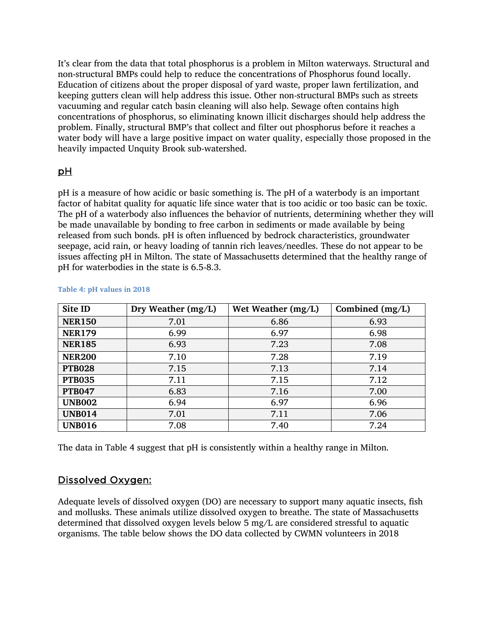It's clear from the data that total phosphorus is a problem in Milton waterways. Structural and non-structural BMPs could help to reduce the concentrations of Phosphorus found locally. Education of citizens about the proper disposal of yard waste, proper lawn fertilization, and keeping gutters clean will help address this issue. Other non-structural BMPs such as streets vacuuming and regular catch basin cleaning will also help. Sewage often contains high concentrations of phosphorus, so eliminating known illicit discharges should help address the problem. Finally, structural BMP's that collect and filter out phosphorus before it reaches a water body will have a large positive impact on water quality, especially those proposed in the heavily impacted Unquity Brook sub-watershed.

### pH

pH is a measure of how acidic or basic something is. The pH of a waterbody is an important factor of habitat quality for aquatic life since water that is too acidic or too basic can be toxic. The pH of a waterbody also influences the behavior of nutrients, determining whether they will be made unavailable by bonding to free carbon in sediments or made available by being released from such bonds. pH is often influenced by bedrock characteristics, groundwater seepage, acid rain, or heavy loading of tannin rich leaves/needles. These do not appear to be issues affecting pH in Milton. The state of Massachusetts determined that the healthy range of pH for waterbodies in the state is 6.5-8.3.

| Site ID       | Dry Weather (mg/L) | Wet Weather (mg/L) | Combined (mg/L) |
|---------------|--------------------|--------------------|-----------------|
| <b>NER150</b> | 7.01               | 6.86               | 6.93            |
| <b>NER179</b> | 6.99               | 6.97               | 6.98            |
| <b>NER185</b> | 6.93               | 7.23               | 7.08            |
| <b>NER200</b> | 7.10               | 7.28               | 7.19            |
| <b>PTB028</b> | 7.15               | 7.13               | 7.14            |
| <b>PTB035</b> | 7.11               | 7.15               | 7.12            |
| <b>PTB047</b> | 6.83               | 7.16               | 7.00            |
| <b>UNB002</b> | 6.94               | 6.97               | 6.96            |
| <b>UNB014</b> | 7.01               | 7.11               | 7.06            |
| <b>UNB016</b> | 7.08               | 7.40               | 7.24            |

#### **Table 4: pH values in 2018**

The data in Table 4 suggest that pH is consistently within a healthy range in Milton.

#### Dissolved Oxygen:

Adequate levels of dissolved oxygen (DO) are necessary to support many aquatic insects, fish and mollusks. These animals utilize dissolved oxygen to breathe. The state of Massachusetts determined that dissolved oxygen levels below 5 mg/L are considered stressful to aquatic organisms. The table below shows the DO data collected by CWMN volunteers in 2018